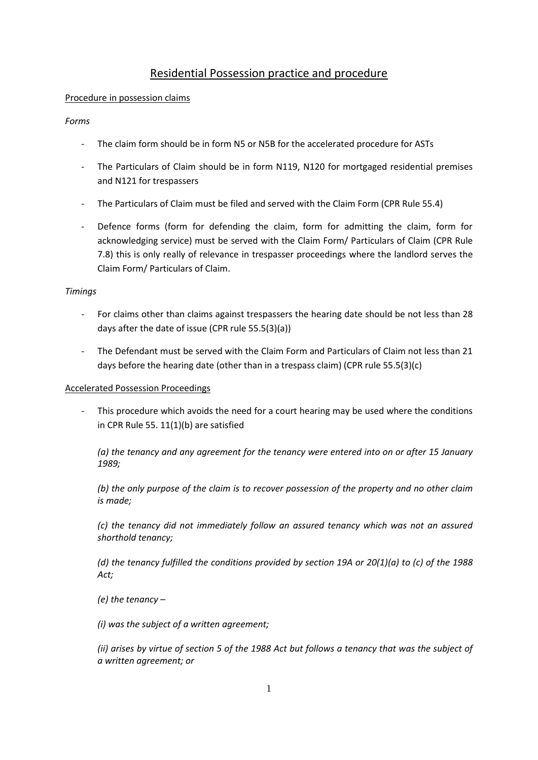# Residential Possession practice and procedure

### Procedure in possession claims

#### *Forms*

- The claim form should be in form N5 or N5B for the accelerated procedure for ASTs
- The Particulars of Claim should be in form N119, N120 for mortgaged residential premises and N121 for trespassers
- The Particulars of Claim must be filed and served with the Claim Form (CPR Rule 55.4)
- Defence forms (form for defending the claim, form for admitting the claim, form for acknowledging service) must be served with the Claim Form/ Particulars of Claim (CPR Rule 7.8) this is only really of relevance in trespasser proceedings where the landlord serves the Claim Form/ Particulars of Claim.

#### *Timings*

- For claims other than claims against trespassers the hearing date should be not less than 28 days after the date of issue (CPR rule 55.5(3)(a))
- The Defendant must be served with the Claim Form and Particulars of Claim not less than 21 days before the hearing date (other than in a trespass claim) (CPR rule 55.5(3)(c)

### Accelerated Possession Proceedings

- This procedure which avoids the need for a court hearing may be used where the conditions in CPR Rule 55. 11(1)(b) are satisfied

*(a) the tenancy and any agreement for the tenancy were entered into on or after 15 January 1989;*

*(b) the only purpose of the claim is to recover possession of the property and no other claim is made;*

*(c) the tenancy did not immediately follow an assured tenancy which was not an assured shorthold tenancy;*

*(d) the tenancy fulfilled the conditions provided by section 19A or 20(1)(a) to (c) of the 1988 Act;*

*(e) the tenancy –*

*(i) was the subject of a written agreement;*

*(ii) arises by virtue of section 5 of the 1988 Act but follows a tenancy that was the subject of a written agreement; or*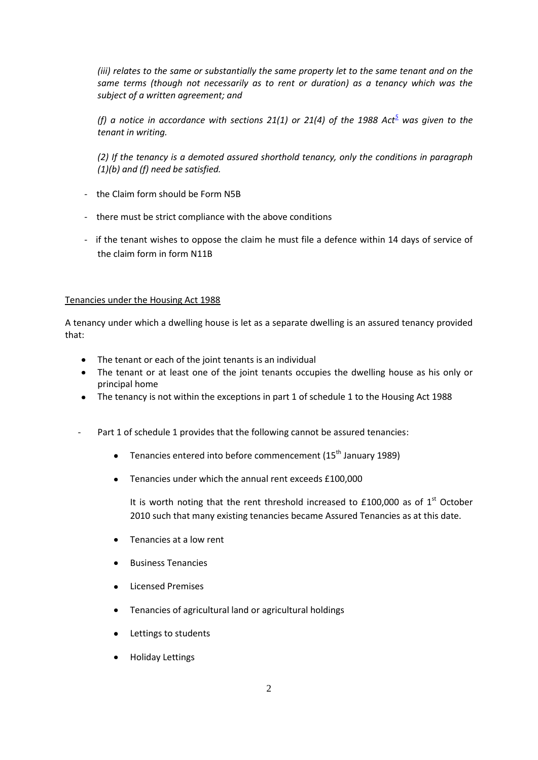*(iii) relates to the same or substantially the same property let to the same tenant and on the same terms (though not necessarily as to rent or duration) as a tenancy which was the subject of a written agreement; and*

*(f) a notice in accordance with sections 21(1) or 21(4) of the 1988 Act[5](http://www.justice.gov.uk/guidance/courts-and-tribunals/courts/procedure-rules/civil/contents/parts/part55.htm#f1003) was given to the tenant in writing.*

*(2) If the tenancy is a demoted assured shorthold tenancy, only the conditions in paragraph (1)(b) and (f) need be satisfied.*

- the Claim form should be Form N5B
- there must be strict compliance with the above conditions
- if the tenant wishes to oppose the claim he must file a defence within 14 days of service of the claim form in form N11B

### Tenancies under the Housing Act 1988

A tenancy under which a dwelling house is let as a separate dwelling is an assured tenancy provided that:

- The tenant or each of the joint tenants is an individual
- The tenant or at least one of the joint tenants occupies the dwelling house as his only or principal home
- The tenancy is not within the exceptions in part 1 of schedule 1 to the Housing Act 1988
- Part 1 of schedule 1 provides that the following cannot be assured tenancies:
	- **•** Tenancies entered into before commencement  $(15<sup>th</sup>)$  January 1989)
	- Tenancies under which the annual rent exceeds £100,000

It is worth noting that the rent threshold increased to  $£100,000$  as of  $1<sup>st</sup>$  October 2010 such that many existing tenancies became Assured Tenancies as at this date.

- Tenancies at a low rent
- Business Tenancies
- Licensed Premises
- Tenancies of agricultural land or agricultural holdings
- Lettings to students
- Holiday Lettings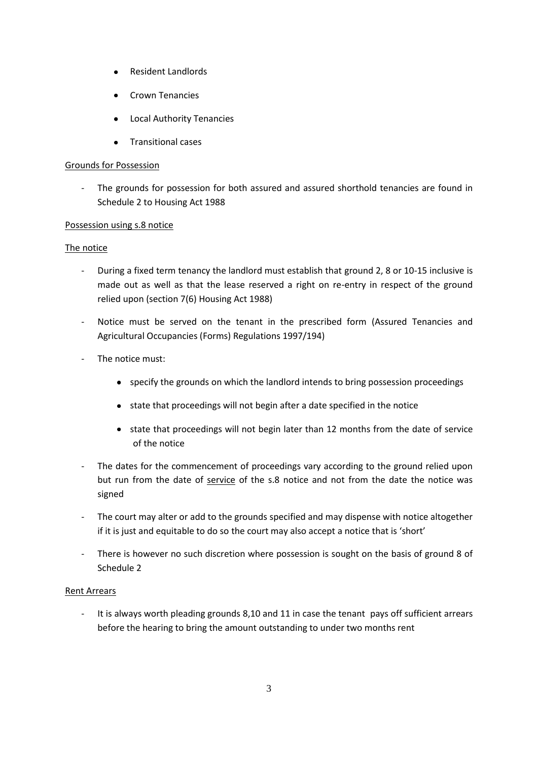- Resident Landlords
- Crown Tenancies
- Local Authority Tenancies
- Transitional cases

#### Grounds for Possession

- The grounds for possession for both assured and assured shorthold tenancies are found in Schedule 2 to Housing Act 1988

#### Possession using s.8 notice

#### The notice

- During a fixed term tenancy the landlord must establish that ground 2, 8 or 10-15 inclusive is made out as well as that the lease reserved a right on re-entry in respect of the ground relied upon (section 7(6) Housing Act 1988)
- Notice must be served on the tenant in the prescribed form (Assured Tenancies and Agricultural Occupancies (Forms) Regulations 1997/194)
- The notice must:
	- specify the grounds on which the landlord intends to bring possession proceedings
	- state that proceedings will not begin after a date specified in the notice
	- state that proceedings will not begin later than 12 months from the date of service of the notice
- The dates for the commencement of proceedings vary according to the ground relied upon but run from the date of service of the s.8 notice and not from the date the notice was signed
- The court may alter or add to the grounds specified and may dispense with notice altogether if it is just and equitable to do so the court may also accept a notice that is 'short'
- There is however no such discretion where possession is sought on the basis of ground 8 of Schedule 2

### Rent Arrears

- It is always worth pleading grounds 8,10 and 11 in case the tenant pays off sufficient arrears before the hearing to bring the amount outstanding to under two months rent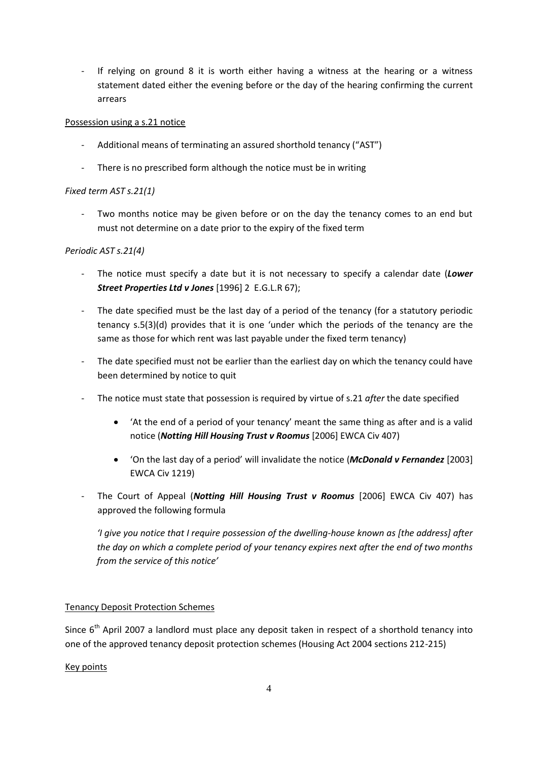- If relying on ground 8 it is worth either having a witness at the hearing or a witness statement dated either the evening before or the day of the hearing confirming the current arrears

### Possession using a s.21 notice

- Additional means of terminating an assured shorthold tenancy ("AST")
- There is no prescribed form although the notice must be in writing

# *Fixed term AST s.21(1)*

- Two months notice may be given before or on the day the tenancy comes to an end but must not determine on a date prior to the expiry of the fixed term

# *Periodic AST s.21(4)*

- The notice must specify a date but it is not necessary to specify a calendar date (*Lower Street Properties Ltd v Jones* [1996] 2 E.G.L.R 67);
- The date specified must be the last day of a period of the tenancy (for a statutory periodic tenancy s.5(3)(d) provides that it is one 'under which the periods of the tenancy are the same as those for which rent was last payable under the fixed term tenancy)
- The date specified must not be earlier than the earliest day on which the tenancy could have been determined by notice to quit
- The notice must state that possession is required by virtue of s.21 *after* the date specified
	- 'At the end of a period of your tenancy' meant the same thing as after and is a valid notice (*Notting Hill Housing Trust v Roomus* [2006] EWCA Civ 407)
	- 'On the last day of a period' will invalidate the notice (*McDonald v Fernandez* [2003] EWCA Civ 1219)
- The Court of Appeal (*Notting Hill Housing Trust v Roomus* [2006] EWCA Civ 407) has approved the following formula

*'I give you notice that I require possession of the dwelling-house known as [the address] after the day on which a complete period of your tenancy expires next after the end of two months from the service of this notice'*

# Tenancy Deposit Protection Schemes

Since  $6<sup>th</sup>$  April 2007 a landlord must place any deposit taken in respect of a shorthold tenancy into one of the approved tenancy deposit protection schemes (Housing Act 2004 sections 212-215)

### Key points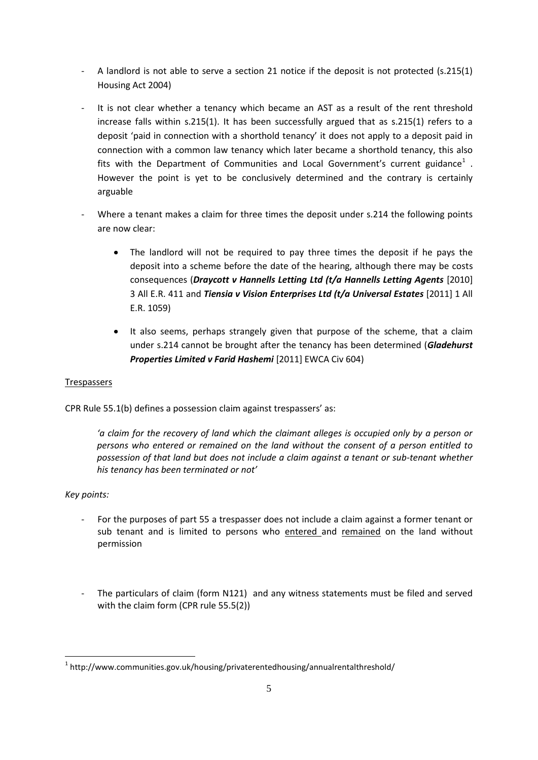- A landlord is not able to serve a section 21 notice if the deposit is not protected (s.215(1) Housing Act 2004)
- It is not clear whether a tenancy which became an AST as a result of the rent threshold increase falls within s.215(1). It has been successfully argued that as s.215(1) refers to a deposit 'paid in connection with a shorthold tenancy' it does not apply to a deposit paid in connection with a common law tenancy which later became a shorthold tenancy, this also fits with the Department of Communities and Local Government's current guidance<sup>1</sup>. However the point is yet to be conclusively determined and the contrary is certainly arguable
- Where a tenant makes a claim for three times the deposit under s.214 the following points are now clear:
	- The landlord will not be required to pay three times the deposit if he pays the deposit into a scheme before the date of the hearing, although there may be costs consequences (*Draycott v Hannells Letting Ltd (t/a Hannells Letting Agents* [\[2010\]](http://login.westlaw.co.uk/maf/wluk/app/document?src=doc&linktype=ref&&context=28&crumb-action=replace&docguid=IEBE977B0185411DF957DD28C8DA0BAC6)  [3 All E.R. 411 and](http://login.westlaw.co.uk/maf/wluk/app/document?src=doc&linktype=ref&&context=28&crumb-action=replace&docguid=IEBE977B0185411DF957DD28C8DA0BAC6) *Tiensia v Vision Enterprises Ltd (t/a Universal Estates* [\[2011\] 1 All](http://login.westlaw.co.uk/maf/wluk/app/document?src=doc&linktype=ref&&context=28&crumb-action=replace&docguid=I7BCA5390EDF211DFA051A4B166A89890)  [E.R. 1059\)](http://login.westlaw.co.uk/maf/wluk/app/document?src=doc&linktype=ref&&context=28&crumb-action=replace&docguid=I7BCA5390EDF211DFA051A4B166A89890)
	- It also seems, perhaps strangely given that purpose of the scheme, that a claim under s.214 cannot be brought after the tenancy has been determined (*Gladehurst Properties Limited v Farid Hashemi* [2011] EWCA Civ 604)

### Trespassers

CPR Rule 55.1(b) defines a possession claim against trespassers' as:

*'a claim for the recovery of land which the claimant alleges is occupied only by a person or persons who entered or remained on the land without the consent of a person entitled to possession of that land but does not include a claim against a tenant or sub-tenant whether his tenancy has been terminated or not'*

### *Key points:*

 $\overline{a}$ 

- For the purposes of part 55 a trespasser does not include a claim against a former tenant or sub tenant and is limited to persons who entered and remained on the land without permission
- The particulars of claim (form N121) and any witness statements must be filed and served with the claim form (CPR rule 55.5(2))

<sup>&</sup>lt;sup>1</sup> http://www.communities.gov.uk/housing/privaterentedhousing/annualrentalthreshold/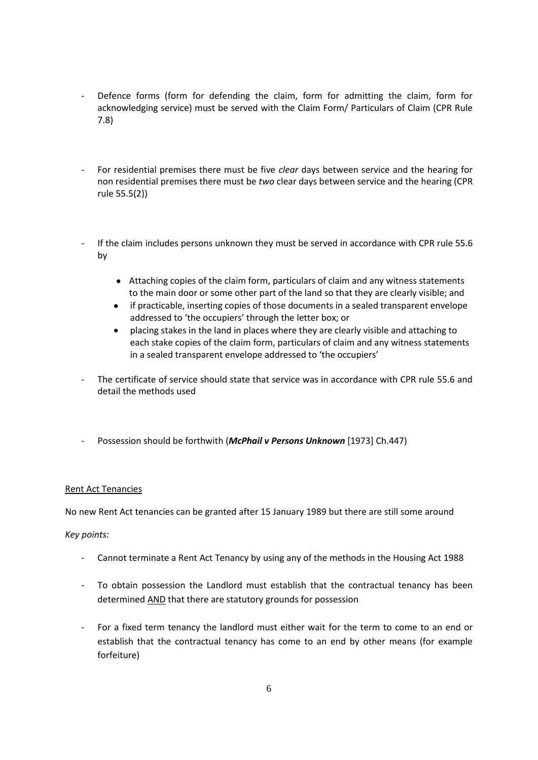- Defence forms (form for defending the claim, form for admitting the claim, form for acknowledging service) must be served with the Claim Form/ Particulars of Claim (CPR Rule 7.8)
- For residential premises there must be five *clear* days between service and the hearing for non residential premises there must be *two* clear days between service and the hearing (CPR rule 55.5(2))
- If the claim includes persons unknown they must be served in accordance with CPR rule 55.6 by
	- Attaching copies of the claim form, particulars of claim and any witness statements to the main door or some other part of the land so that they are clearly visible; and
	- if practicable, inserting copies of those documents in a sealed transparent envelope addressed to 'the occupiers' through the letter box; or
	- placing stakes in the land in places where they are clearly visible and attaching to each stake copies of the claim form, particulars of claim and any witness statements in a sealed transparent envelope addressed to 'the occupiers'
- The certificate of service should state that service was in accordance with CPR rule 55.6 and detail the methods used
- Possession should be forthwith (*McPhail v Persons Unknown* [1973] Ch.447)

### Rent Act Tenancies

No new Rent Act tenancies can be granted after 15 January 1989 but there are still some around

#### *Key points:*

- Cannot terminate a Rent Act Tenancy by using any of the methods in the Housing Act 1988
- To obtain possession the Landlord must establish that the contractual tenancy has been determined AND that there are statutory grounds for possession
- For a fixed term tenancy the landlord must either wait for the term to come to an end or establish that the contractual tenancy has come to an end by other means (for example forfeiture)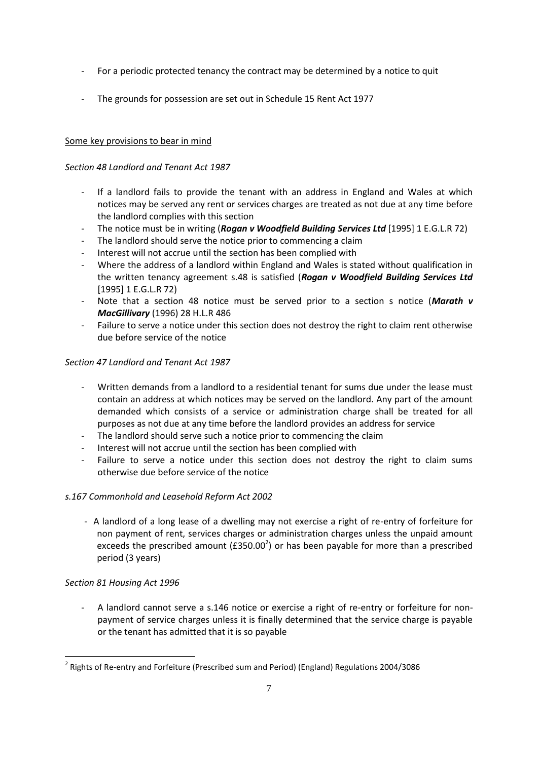- For a periodic protected tenancy the contract may be determined by a notice to quit
- The grounds for possession are set out in Schedule 15 Rent Act 1977

# Some key provisions to bear in mind

# *Section 48 Landlord and Tenant Act 1987*

- If a landlord fails to provide the tenant with an address in England and Wales at which notices may be served any rent or services charges are treated as not due at any time before the landlord complies with this section
- The notice must be in writing (*Rogan v Woodfield Building Services Ltd* [1995] 1 E.G.L.R 72)
- The landlord should serve the notice prior to commencing a claim
- Interest will not accrue until the section has been complied with
- Where the address of a landlord within England and Wales is stated without qualification in the written tenancy agreement s.48 is satisfied (*Rogan v Woodfield Building Services Ltd* [1995] 1 E.G.L.R 72)
- Note that a section 48 notice must be served prior to a section s notice (Marath v *MacGillivary* (1996) 28 H.L.R 486
- Failure to serve a notice under this section does not destroy the right to claim rent otherwise due before service of the notice

## *Section 47 Landlord and Tenant Act 1987*

- Written demands from a landlord to a residential tenant for sums due under the lease must contain an address at which notices may be served on the landlord. Any part of the amount demanded which consists of a service or administration charge shall be treated for all purposes as not due at any time before the landlord provides an address for service
- The landlord should serve such a notice prior to commencing the claim
- Interest will not accrue until the section has been complied with
- Failure to serve a notice under this section does not destroy the right to claim sums otherwise due before service of the notice

# *s.167 Commonhold and Leasehold Reform Act 2002*

- A landlord of a long lease of a dwelling may not exercise a right of re-entry of forfeiture for non payment of rent, services charges or administration charges unless the unpaid amount exceeds the prescribed amount ( $£350.00^2$ ) or has been payable for more than a prescribed period (3 years)

### *Section 81 Housing Act 1996*

 $\overline{a}$ 

A landlord cannot serve a s.146 notice or exercise a right of re-entry or forfeiture for nonpayment of service charges unless it is finally determined that the service charge is payable or the tenant has admitted that it is so payable

<sup>&</sup>lt;sup>2</sup> Rights of Re-entry and Forfeiture (Prescribed sum and Period) (England) Regulations 2004/3086